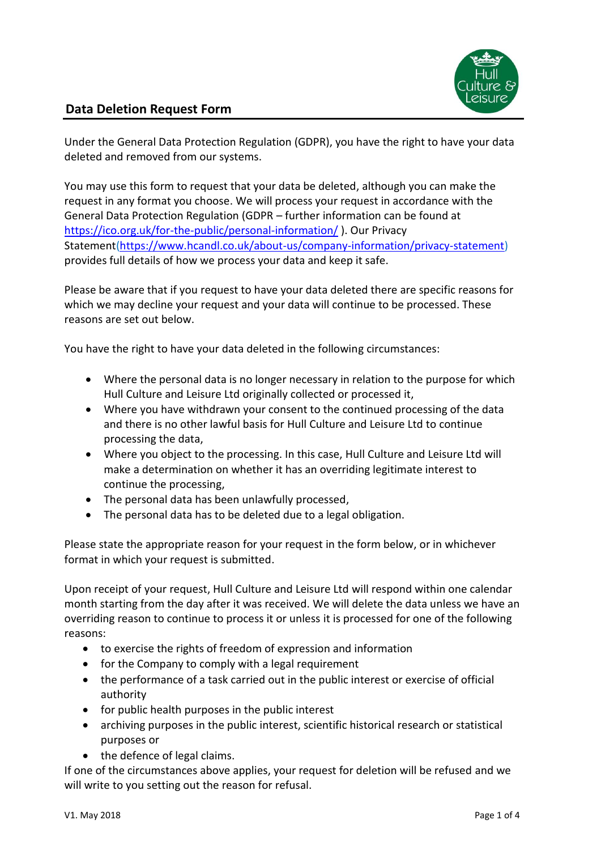

## **Data Deletion Request Form**

Under the General Data Protection Regulation (GDPR), you have the right to have your data deleted and removed from our systems.

You may use this form to request that your data be deleted, although you can make the request in any format you choose. We will process your request in accordance with the General Data Protection Regulation (GDPR – further information can be found at <https://ico.org.uk/for-the-public/personal-information/> ). Our Privacy Statement[\(https://www.hcandl.co.uk/about-us/company-information/privacy-statement\)](https://www.hcandl.co.uk/about-us/company-information/privacy-statement) provides full details of how we process your data and keep it safe.

Please be aware that if you request to have your data deleted there are specific reasons for which we may decline your request and your data will continue to be processed. These reasons are set out below.

You have the right to have your data deleted in the following circumstances:

- Where the personal data is no longer necessary in relation to the purpose for which Hull Culture and Leisure Ltd originally collected or processed it,
- Where you have withdrawn your consent to the continued processing of the data and there is no other lawful basis for Hull Culture and Leisure Ltd to continue processing the data,
- Where you object to the processing. In this case, Hull Culture and Leisure Ltd will make a determination on whether it has an overriding legitimate interest to continue the processing,
- The personal data has been unlawfully processed,
- The personal data has to be deleted due to a legal obligation.

Please state the appropriate reason for your request in the form below, or in whichever format in which your request is submitted.

Upon receipt of your request, Hull Culture and Leisure Ltd will respond within one calendar month starting from the day after it was received. We will delete the data unless we have an overriding reason to continue to process it or unless it is processed for one of the following reasons:

- to exercise the rights of freedom of expression and information
- for the Company to comply with a legal requirement
- the performance of a task carried out in the public interest or exercise of official authority
- for public health purposes in the public interest
- archiving purposes in the public interest, scientific historical research or statistical purposes or
- the defence of legal claims.

If one of the circumstances above applies, your request for deletion will be refused and we will write to you setting out the reason for refusal.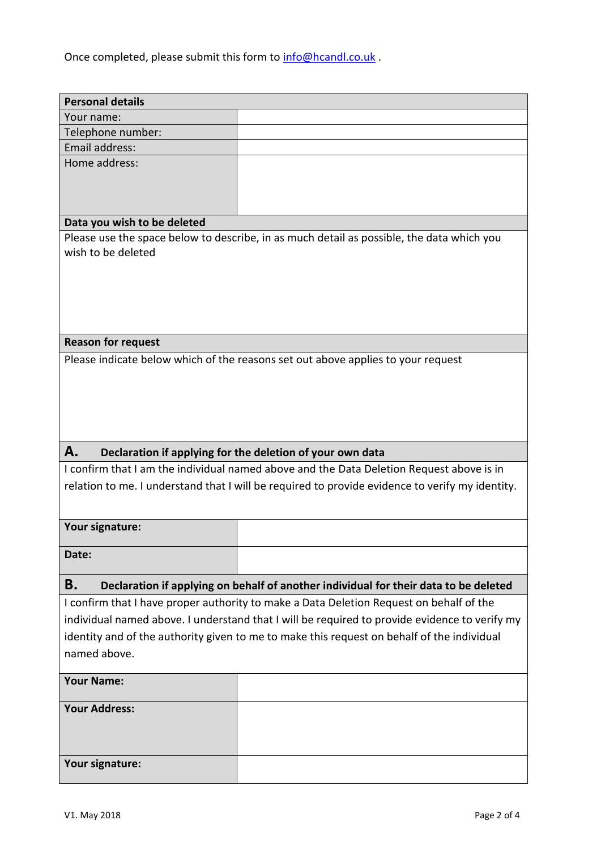Once completed, please submit this form to **info@hcandl.co.uk**.

| <b>Personal details</b>                                                                   |                                                                                                 |  |  |
|-------------------------------------------------------------------------------------------|-------------------------------------------------------------------------------------------------|--|--|
| Your name:                                                                                |                                                                                                 |  |  |
| Telephone number:                                                                         |                                                                                                 |  |  |
| Email address:                                                                            |                                                                                                 |  |  |
| Home address:                                                                             |                                                                                                 |  |  |
|                                                                                           |                                                                                                 |  |  |
|                                                                                           |                                                                                                 |  |  |
|                                                                                           |                                                                                                 |  |  |
| Data you wish to be deleted                                                               |                                                                                                 |  |  |
| Please use the space below to describe, in as much detail as possible, the data which you |                                                                                                 |  |  |
| wish to be deleted                                                                        |                                                                                                 |  |  |
|                                                                                           |                                                                                                 |  |  |
|                                                                                           |                                                                                                 |  |  |
|                                                                                           |                                                                                                 |  |  |
|                                                                                           |                                                                                                 |  |  |
|                                                                                           |                                                                                                 |  |  |
| <b>Reason for request</b>                                                                 |                                                                                                 |  |  |
| Please indicate below which of the reasons set out above applies to your request          |                                                                                                 |  |  |
|                                                                                           |                                                                                                 |  |  |
|                                                                                           |                                                                                                 |  |  |
|                                                                                           |                                                                                                 |  |  |
|                                                                                           |                                                                                                 |  |  |
|                                                                                           |                                                                                                 |  |  |
|                                                                                           |                                                                                                 |  |  |
| A.                                                                                        | Declaration if applying for the deletion of your own data                                       |  |  |
|                                                                                           | I confirm that I am the individual named above and the Data Deletion Request above is in        |  |  |
|                                                                                           | relation to me. I understand that I will be required to provide evidence to verify my identity. |  |  |
|                                                                                           |                                                                                                 |  |  |
|                                                                                           |                                                                                                 |  |  |
| Your signature:                                                                           |                                                                                                 |  |  |
|                                                                                           |                                                                                                 |  |  |
| Date:                                                                                     |                                                                                                 |  |  |
|                                                                                           |                                                                                                 |  |  |
| Β.                                                                                        | Declaration if applying on behalf of another individual for their data to be deleted            |  |  |
|                                                                                           | I confirm that I have proper authority to make a Data Deletion Request on behalf of the         |  |  |
|                                                                                           | individual named above. I understand that I will be required to provide evidence to verify my   |  |  |
|                                                                                           | identity and of the authority given to me to make this request on behalf of the individual      |  |  |
| named above.                                                                              |                                                                                                 |  |  |
|                                                                                           |                                                                                                 |  |  |
| <b>Your Name:</b>                                                                         |                                                                                                 |  |  |
|                                                                                           |                                                                                                 |  |  |
| <b>Your Address:</b>                                                                      |                                                                                                 |  |  |
|                                                                                           |                                                                                                 |  |  |
|                                                                                           |                                                                                                 |  |  |
| Your signature:                                                                           |                                                                                                 |  |  |